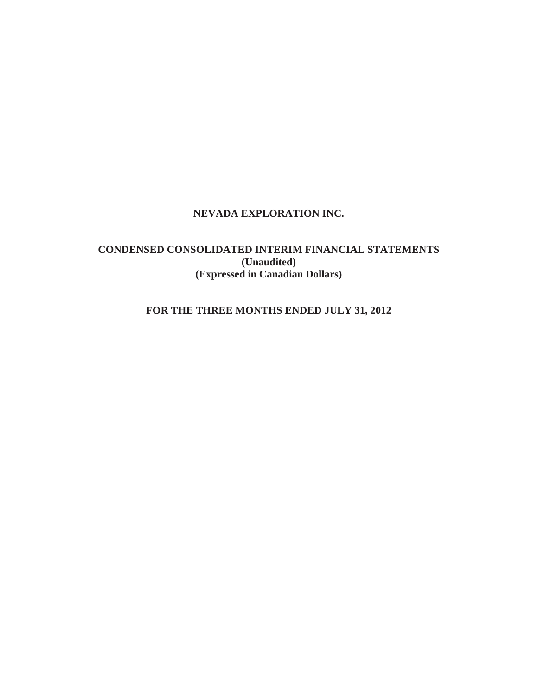# **CONDENSED CONSOLIDATED INTERIM FINANCIAL STATEMENTS (Unaudited) (Expressed in Canadian Dollars)**

# **FOR THE THREE MONTHS ENDED JULY 31, 2012**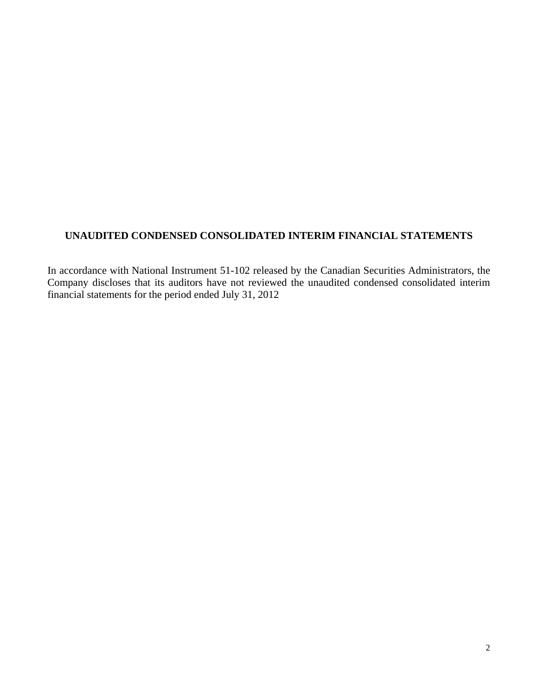# **UNAUDITED CONDENSED CONSOLIDATED INTERIM FINANCIAL STATEMENTS**

In accordance with National Instrument 51-102 released by the Canadian Securities Administrators, the Company discloses that its auditors have not reviewed the unaudited condensed consolidated interim financial statements for the period ended July 31, 2012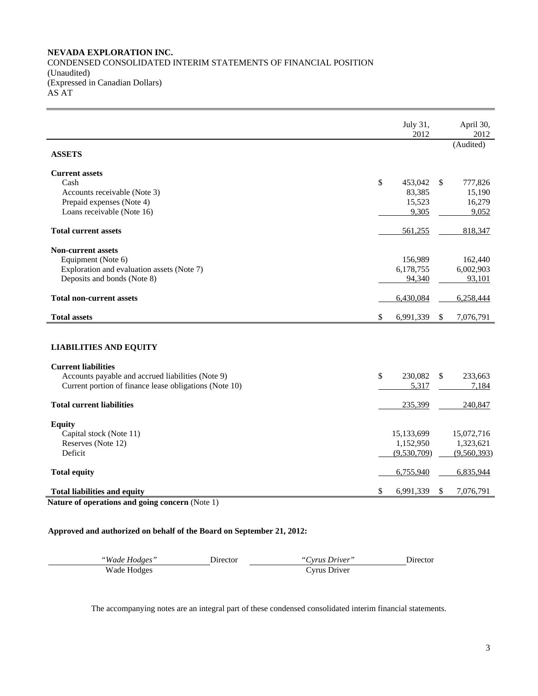# **NEVADA EXPLORATION INC.**  CONDENSED CONSOLIDATED INTERIM STATEMENTS OF FINANCIAL POSITION (Unaudited) (Expressed in Canadian Dollars) AS AT

|                                                                           | July 31,<br>2012 | April 30,<br>2012 |
|---------------------------------------------------------------------------|------------------|-------------------|
| <b>ASSETS</b>                                                             |                  | (Audited)         |
| <b>Current assets</b>                                                     |                  |                   |
| Cash                                                                      | \$<br>453,042    | \$<br>777,826     |
| Accounts receivable (Note 3)                                              | 83,385           | 15,190            |
| Prepaid expenses (Note 4)                                                 | 15,523           | 16,279            |
| Loans receivable (Note 16)                                                | 9,305            | 9,052             |
| <b>Total current assets</b>                                               | 561,255          | 818,347           |
| <b>Non-current assets</b>                                                 |                  |                   |
| Equipment (Note 6)                                                        | 156,989          | 162,440           |
| Exploration and evaluation assets (Note 7)                                | 6,178,755        | 6,002,903         |
| Deposits and bonds (Note 8)                                               | 94,340           | 93,101            |
| <b>Total non-current assets</b>                                           | 6,430,084        | 6,258,444         |
| <b>Total assets</b>                                                       | \$<br>6,991,339  | \$<br>7,076,791   |
|                                                                           |                  |                   |
| <b>LIABILITIES AND EQUITY</b>                                             |                  |                   |
| <b>Current liabilities</b>                                                |                  |                   |
| Accounts payable and accrued liabilities (Note 9)                         | \$<br>230,082    | \$<br>233,663     |
| Current portion of finance lease obligations (Note 10)                    | 5,317            | 7,184             |
| <b>Total current liabilities</b>                                          | 235,399          | 240,847           |
| <b>Equity</b>                                                             |                  |                   |
| Capital stock (Note 11)                                                   | 15,133,699       | 15,072,716        |
| Reserves (Note 12)                                                        | 1,152,950        | 1,323,621         |
| Deficit                                                                   | (9,530,709)      | (9,560,393)       |
| <b>Total equity</b>                                                       | 6,755,940        | 6,835,944         |
| <b>Total liabilities and equity</b>                                       | \$<br>6,991,339  | \$<br>7,076,791   |
| $\mathbf{e}$<br>$\rightarrow$<br>$\sqrt{N}$<br>$\rightarrow$<br><b>NT</b> |                  |                   |

**Nature of operations and going concern** (Note 1)

# **Approved and authorized on behalf of the Board on September 21, 2012:**

| "Wade Hodges" | Jirector | "Cyrus Driver" | Jirector. |
|---------------|----------|----------------|-----------|
| Wade Hodges   |          | Cvrus Driver   |           |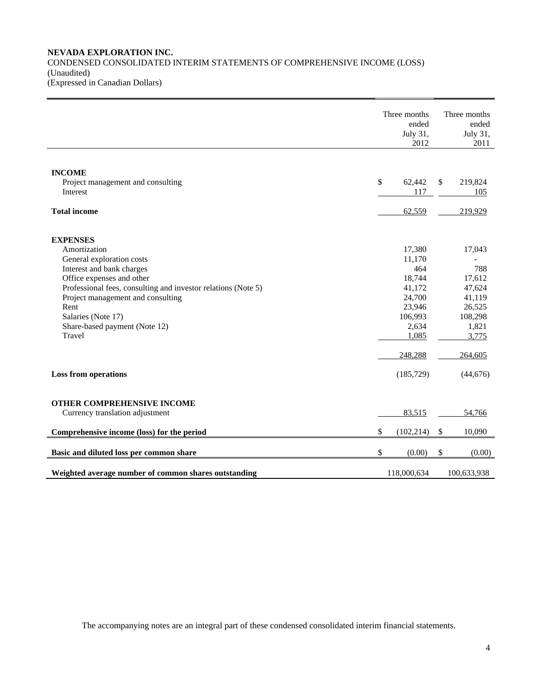# **NEVADA EXPLORATION INC.**  CONDENSED CONSOLIDATED INTERIM STATEMENTS OF COMPREHENSIVE INCOME (LOSS) (Unaudited) (Expressed in Canadian Dollars)

|                                                               | Three months<br>ended<br>July 31,<br>2012 | Three months<br>ended<br>July 31,<br>2011 |
|---------------------------------------------------------------|-------------------------------------------|-------------------------------------------|
|                                                               |                                           |                                           |
| <b>INCOME</b>                                                 |                                           |                                           |
| Project management and consulting                             | \$<br>62,442                              | \$<br>219,824                             |
| Interest                                                      | 117                                       | 105                                       |
| <b>Total income</b>                                           | 62,559                                    | 219,929                                   |
|                                                               |                                           |                                           |
| <b>EXPENSES</b>                                               |                                           |                                           |
| Amortization                                                  | 17,380                                    | 17,043                                    |
| General exploration costs                                     | 11,170                                    |                                           |
| Interest and bank charges                                     | 464                                       | 788                                       |
| Office expenses and other                                     | 18,744                                    | 17,612                                    |
| Professional fees, consulting and investor relations (Note 5) | 41,172                                    | 47,624                                    |
| Project management and consulting                             | 24,700                                    | 41,119                                    |
| Rent                                                          | 23,946                                    | 26,525                                    |
| Salaries (Note 17)                                            | 106,993                                   | 108,298                                   |
| Share-based payment (Note 12)                                 | 2,634                                     | 1,821                                     |
| Travel                                                        | 1,085                                     | 3,775                                     |
|                                                               | 248,288                                   | 264,605                                   |
| <b>Loss from operations</b>                                   | (185, 729)                                | (44,676)                                  |
|                                                               |                                           |                                           |
| OTHER COMPREHENSIVE INCOME                                    |                                           |                                           |
| Currency translation adjustment                               | 83,515                                    | 54,766                                    |
| Comprehensive income (loss) for the period                    | \$<br>(102, 214)                          | \$<br>10,090                              |
| Basic and diluted loss per common share                       | \$<br>(0.00)                              | \$<br>(0.00)                              |
| Weighted average number of common shares outstanding          | 118,000,634                               | 100,633,938                               |
|                                                               |                                           |                                           |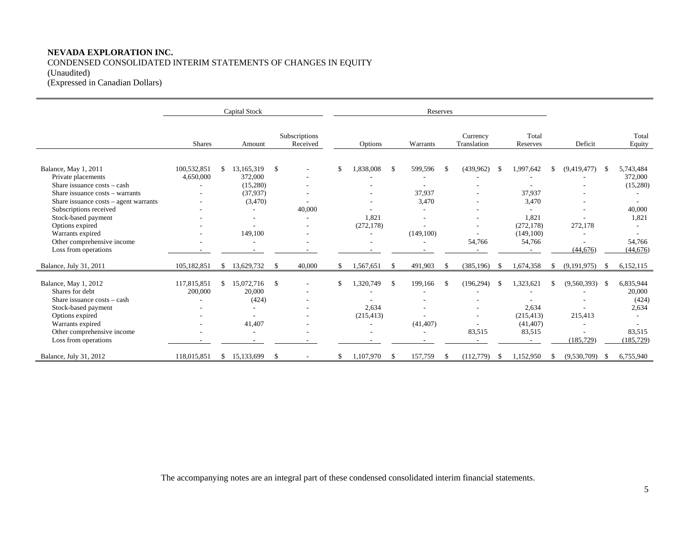CONDENSED CONSOLIDATED INTERIM STATEMENTS OF CHANGES IN EQUITY (Unaudited)

(Expressed in Canadian Dollars)

|                                            |               |     | Capital Stock |               |                           | Reserves |            |               |           |     |                         |     |                   |               |             |     |                 |
|--------------------------------------------|---------------|-----|---------------|---------------|---------------------------|----------|------------|---------------|-----------|-----|-------------------------|-----|-------------------|---------------|-------------|-----|-----------------|
|                                            | <b>Shares</b> |     | Amount        |               | Subscriptions<br>Received |          | Options    |               | Warrants  |     | Currency<br>Translation |     | Total<br>Reserves |               | Deficit     |     | Total<br>Equity |
| Balance, May 1, 2011                       | 100,532,851   |     | 13,165,319    | $\mathcal{S}$ |                           |          | 1,838,008  | \$            | 599,596   | -\$ | (439, 962)              | -S  | 1,997,642         | <sup>\$</sup> | (9,419,477) | -\$ | 5,743,484       |
| Private placements                         | 4,650,000     |     | 372,000       |               |                           |          |            |               |           |     |                         |     |                   |               |             |     | 372,000         |
| Share issuance costs – cash                |               |     | (15,280)      |               |                           |          |            |               |           |     |                         |     |                   |               |             |     | (15,280)        |
| Share issuance costs - warrants            |               |     | (37,937)      |               |                           |          |            |               | 37,937    |     |                         |     | 37,937            |               |             |     |                 |
| Share issuance $costs - agent \, warrants$ |               |     | (3,470)       |               |                           |          |            |               | 3,470     |     |                         |     | 3,470             |               |             |     |                 |
| Subscriptions received                     |               |     |               |               | 40,000                    |          |            |               |           |     |                         |     |                   |               |             |     | 40,000          |
| Stock-based payment                        |               |     | ۰             |               |                           |          | 1.821      |               |           |     |                         |     | 1,821             |               |             |     | 1,821           |
| Options expired                            |               |     |               |               |                           |          | (272, 178) |               |           |     |                         |     | (272, 178)        |               | 272,178     |     |                 |
| Warrants expired                           |               |     | 149,100       |               |                           |          |            |               | (149,100) |     |                         |     | (149, 100)        |               |             |     |                 |
| Other comprehensive income                 |               |     |               |               | ٠                         |          |            |               |           |     | 54,766                  |     | 54,766            |               |             |     | 54,766          |
| Loss from operations                       |               |     |               |               |                           |          |            |               |           |     |                         |     |                   |               | (44, 676)   |     | (44, 676)       |
| Balance, July 31, 2011                     | 105,182,851   | \$. | 13,629,732    | $\mathbb{S}$  | 40,000                    | \$       | 1,567,651  | $\mathbf{\$}$ | 491,903   | -S  | (385, 196)              | -\$ | 1,674,358         | -S            | (9,191,975) | -S  | 6,152,115       |
| Balance, May 1, 2012                       | 117,815,851   |     | 15,072,716    | \$            |                           | \$.      | 1,320,749  | \$            | 199,166   | -\$ | (196, 294)              | -\$ | 1,323,621         | <sup>\$</sup> | (9,560,393) | -\$ | 6,835,944       |
| Shares for debt                            | 200,000       |     | 20,000        |               |                           |          |            |               |           |     |                         |     |                   |               |             |     | 20,000          |
| Share issuance costs - cash                |               |     | (424)         |               |                           |          |            |               |           |     |                         |     |                   |               |             |     | (424)           |
| Stock-based payment                        |               |     |               |               |                           |          | 2,634      |               |           |     |                         |     | 2,634             |               |             |     | 2,634           |
| Options expired                            |               |     |               |               |                           |          | (215, 413) |               |           |     |                         |     | (215.413)         |               | 215,413     |     |                 |
| Warrants expired                           |               |     | 41.407        |               |                           |          |            |               | (41, 407) |     |                         |     | (41, 407)         |               |             |     |                 |
| Other comprehensive income                 |               |     |               |               |                           |          |            |               |           |     | 83,515                  |     | 83,515            |               |             |     | 83,515          |
| Loss from operations                       |               |     |               |               |                           |          |            |               |           |     |                         |     |                   |               | (185, 729)  |     | (185, 729)      |
| Balance, July 31, 2012                     | 118,015,851   | \$. | 15,133,699    | <sup>\$</sup> |                           | S        | 1,107,970  | \$            | 157,759   | -8  | (112,779)               | S.  | 1,152,950         | \$            | (9,530,709) | -S  | 6,755,940       |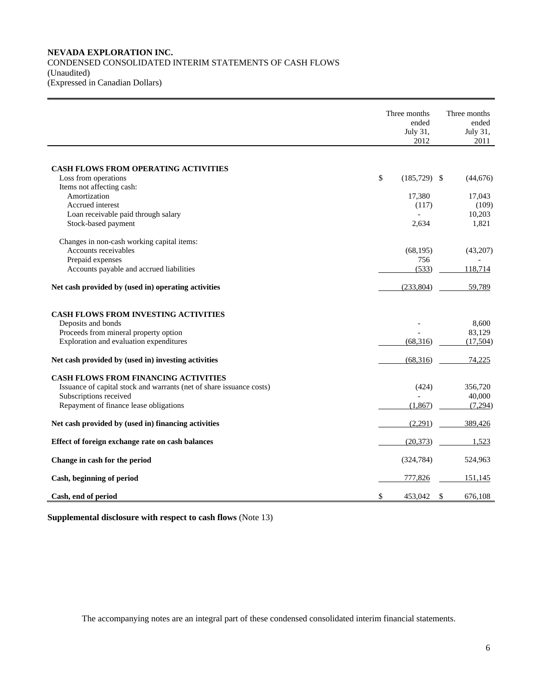# **NEVADA EXPLORATION INC.**  CONDENSED CONSOLIDATED INTERIM STATEMENTS OF CASH FLOWS (Unaudited) (Expressed in Canadian Dollars)

|                                                                      | Three months<br>ended<br>July 31,<br>2012 | Three months<br>ended<br>July 31,<br>2011 |
|----------------------------------------------------------------------|-------------------------------------------|-------------------------------------------|
|                                                                      |                                           |                                           |
| <b>CASH FLOWS FROM OPERATING ACTIVITIES</b>                          |                                           |                                           |
| Loss from operations                                                 | \$<br>$(185,729)$ \$                      | (44, 676)                                 |
| Items not affecting cash:<br>Amortization                            | 17,380                                    | 17,043                                    |
| Accrued interest                                                     | (117)                                     | (109)                                     |
| Loan receivable paid through salary                                  |                                           | 10,203                                    |
| Stock-based payment                                                  | 2,634                                     | 1,821                                     |
| Changes in non-cash working capital items:                           |                                           |                                           |
| Accounts receivables                                                 | (68, 195)                                 | (43,207)                                  |
| Prepaid expenses                                                     | 756                                       |                                           |
| Accounts payable and accrued liabilities                             | (533)                                     | 118,714                                   |
| Net cash provided by (used in) operating activities                  | (233,804)                                 | 59,789                                    |
| <b>CASH FLOWS FROM INVESTING ACTIVITIES</b>                          |                                           |                                           |
| Deposits and bonds                                                   |                                           | 8,600                                     |
| Proceeds from mineral property option                                |                                           | 83,129                                    |
| Exploration and evaluation expenditures                              | (68,316)                                  | (17,504)                                  |
| Net cash provided by (used in) investing activities                  | (68,316)                                  | 74,225                                    |
| <b>CASH FLOWS FROM FINANCING ACTIVITIES</b>                          |                                           |                                           |
| Issuance of capital stock and warrants (net of share issuance costs) | (424)                                     | 356,720                                   |
| Subscriptions received                                               |                                           | 40,000                                    |
| Repayment of finance lease obligations                               | (1,867)                                   | (7,294)                                   |
| Net cash provided by (used in) financing activities                  | (2,291)                                   | 389,426                                   |
| Effect of foreign exchange rate on cash balances                     | (20, 373)                                 | 1,523                                     |
| Change in cash for the period                                        | (324, 784)                                | 524,963                                   |
| Cash, beginning of period                                            | 777,826                                   | 151,145                                   |
| Cash, end of period                                                  | \$<br>453.042                             | \$<br>676,108                             |

**Supplemental disclosure with respect to cash flows** (Note 13)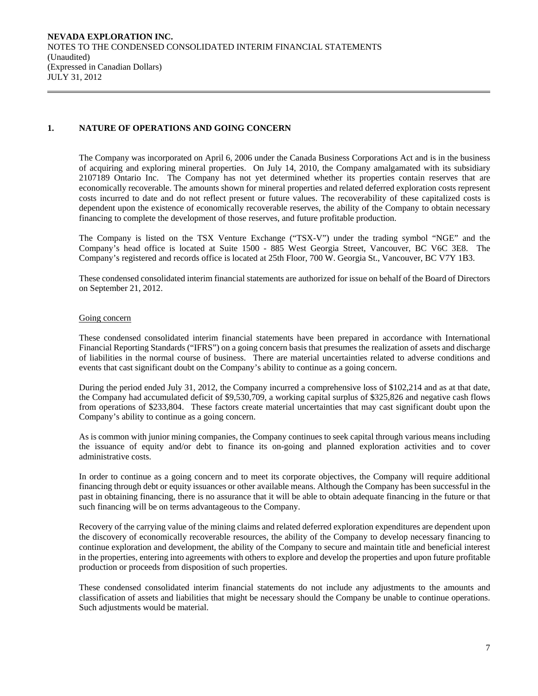# **1. NATURE OF OPERATIONS AND GOING CONCERN**

The Company was incorporated on April 6, 2006 under the Canada Business Corporations Act and is in the business of acquiring and exploring mineral properties. On July 14, 2010, the Company amalgamated with its subsidiary 2107189 Ontario Inc. The Company has not yet determined whether its properties contain reserves that are economically recoverable. The amounts shown for mineral properties and related deferred exploration costs represent costs incurred to date and do not reflect present or future values. The recoverability of these capitalized costs is dependent upon the existence of economically recoverable reserves, the ability of the Company to obtain necessary financing to complete the development of those reserves, and future profitable production.

The Company is listed on the TSX Venture Exchange ("TSX-V") under the trading symbol "NGE" and the Company's head office is located at Suite 1500 - 885 West Georgia Street, Vancouver, BC V6C 3E8. The Company's registered and records office is located at 25th Floor, 700 W. Georgia St., Vancouver, BC V7Y 1B3.

 These condensed consolidated interim financial statements are authorized for issue on behalf of the Board of Directors on September 21, 2012.

#### Going concern

These condensed consolidated interim financial statements have been prepared in accordance with International Financial Reporting Standards ("IFRS") on a going concern basis that presumes the realization of assets and discharge of liabilities in the normal course of business. There are material uncertainties related to adverse conditions and events that cast significant doubt on the Company's ability to continue as a going concern.

During the period ended July 31, 2012, the Company incurred a comprehensive loss of \$102,214 and as at that date, the Company had accumulated deficit of \$9,530,709, a working capital surplus of \$325,826 and negative cash flows from operations of \$233,804. These factors create material uncertainties that may cast significant doubt upon the Company's ability to continue as a going concern.

As is common with junior mining companies, the Company continues to seek capital through various means including the issuance of equity and/or debt to finance its on-going and planned exploration activities and to cover administrative costs.

In order to continue as a going concern and to meet its corporate objectives, the Company will require additional financing through debt or equity issuances or other available means. Although the Company has been successful in the past in obtaining financing, there is no assurance that it will be able to obtain adequate financing in the future or that such financing will be on terms advantageous to the Company.

 Recovery of the carrying value of the mining claims and related deferred exploration expenditures are dependent upon the discovery of economically recoverable resources, the ability of the Company to develop necessary financing to continue exploration and development, the ability of the Company to secure and maintain title and beneficial interest in the properties, entering into agreements with others to explore and develop the properties and upon future profitable production or proceeds from disposition of such properties.

 These condensed consolidated interim financial statements do not include any adjustments to the amounts and classification of assets and liabilities that might be necessary should the Company be unable to continue operations. Such adjustments would be material.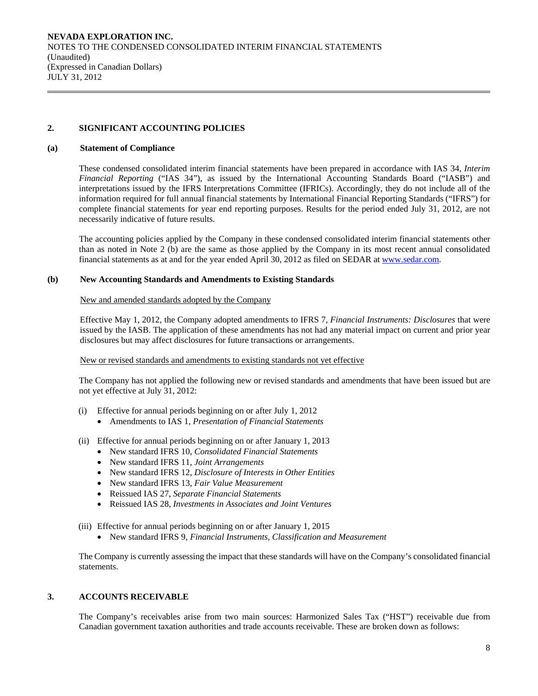# **2. SIGNIFICANT ACCOUNTING POLICIES**

#### **(a) Statement of Compliance**

 These condensed consolidated interim financial statements have been prepared in accordance with IAS 34, *Interim Financial Reporting* ("IAS 34"), as issued by the International Accounting Standards Board ("IASB") and interpretations issued by the IFRS Interpretations Committee (IFRICs). Accordingly, they do not include all of the information required for full annual financial statements by International Financial Reporting Standards ("IFRS") for complete financial statements for year end reporting purposes. Results for the period ended July 31, 2012, are not necessarily indicative of future results.

 The accounting policies applied by the Company in these condensed consolidated interim financial statements other than as noted in Note 2 (b) are the same as those applied by the Company in its most recent annual consolidated financial statements as at and for the year ended April 30, 2012 as filed on SEDAR at www.sedar.com.

# **(b) New Accounting Standards and Amendments to Existing Standards**

#### New and amended standards adopted by the Company

 Effective May 1, 2012, the Company adopted amendments to IFRS 7, *Financial Instruments: Disclosures* that were issued by the IASB. The application of these amendments has not had any material impact on current and prior year disclosures but may affect disclosures for future transactions or arrangements.

### New or revised standards and amendments to existing standards not yet effective

 The Company has not applied the following new or revised standards and amendments that have been issued but are not yet effective at July 31, 2012:

- (i) Effective for annual periods beginning on or after July 1, 2012
	- Amendments to IAS 1, *Presentation of Financial Statements*
- (ii) Effective for annual periods beginning on or after January 1, 2013
	- New standard IFRS 10, *Consolidated Financial Statements*
	- New standard IFRS 11, *Joint Arrangements*
	- New standard IFRS 12, *Disclosure of Interests in Other Entities*
	- New standard IFRS 13, *Fair Value Measurement*
	- Reissued IAS 27, *Separate Financial Statements*
	- Reissued IAS 28, *Investments in Associates and Joint Ventures*
- (iii) Effective for annual periods beginning on or after January 1, 2015
	- New standard IFRS 9, *Financial Instruments, Classification and Measurement*

The Company is currently assessing the impact that these standards will have on the Company's consolidated financial statements.

# **3. ACCOUNTS RECEIVABLE**

The Company's receivables arise from two main sources: Harmonized Sales Tax ("HST") receivable due from Canadian government taxation authorities and trade accounts receivable. These are broken down as follows: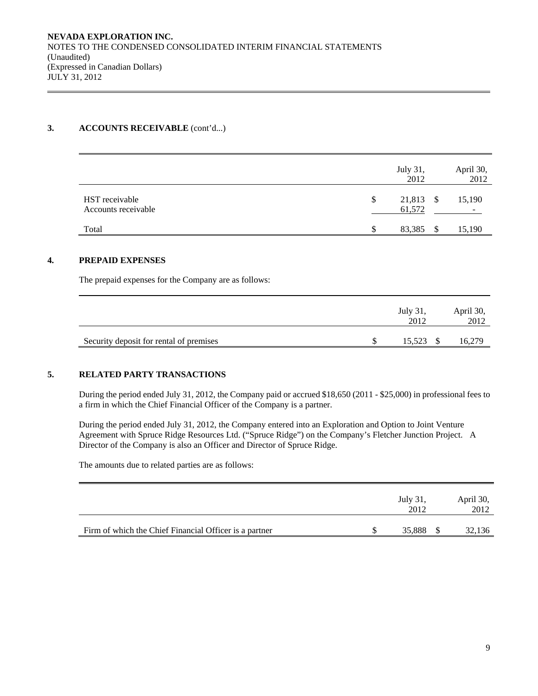# **3. ACCOUNTS RECEIVABLE** (cont'd...)

|                                       |    | July 31,<br>2012    | April 30,<br>2012 |
|---------------------------------------|----|---------------------|-------------------|
| HST receivable<br>Accounts receivable | \$ | 21,813 \$<br>61,572 | 15,190<br>-       |
| Total                                 | S  | 83,385              | 15,190            |

# **4. PREPAID EXPENSES**

The prepaid expenses for the Company are as follows:

|                                         | July 31,<br>2012 | April 30,<br>2012 |
|-----------------------------------------|------------------|-------------------|
| Security deposit for rental of premises | 15,523 \$        | 16,279            |

# **5. RELATED PARTY TRANSACTIONS**

 During the period ended July 31, 2012, the Company paid or accrued \$18,650 (2011 - \$25,000) in professional fees to a firm in which the Chief Financial Officer of the Company is a partner.

During the period ended July 31, 2012, the Company entered into an Exploration and Option to Joint Venture Agreement with Spruce Ridge Resources Ltd. ("Spruce Ridge") on the Company's Fletcher Junction Project. A Director of the Company is also an Officer and Director of Spruce Ridge.

The amounts due to related parties are as follows:

|                                                        | July 31,<br>2012 | April 30,<br>2012 |
|--------------------------------------------------------|------------------|-------------------|
| Firm of which the Chief Financial Officer is a partner | 35,888           | 32,136            |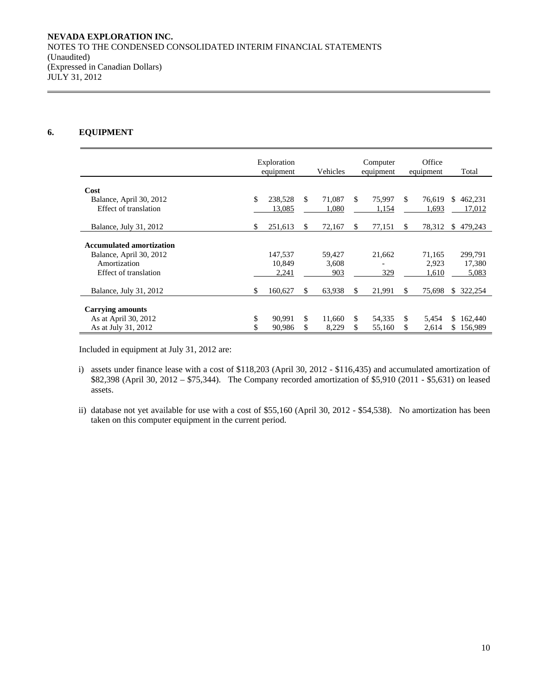# **6. EQUIPMENT**

|                                 | Exploration<br>equipment |         |     | Vehicles |     | Computer<br>equipment |     | Office<br>equipment | Total                    |
|---------------------------------|--------------------------|---------|-----|----------|-----|-----------------------|-----|---------------------|--------------------------|
|                                 |                          |         |     |          |     |                       |     |                     |                          |
| Cost                            |                          |         |     |          |     |                       |     |                     |                          |
| Balance, April 30, 2012         | \$                       | 238,528 | \$. | 71.087   | \$. | 75,997                | \$. | 76.619              | 462,231<br>\$            |
| Effect of translation           |                          | 13,085  |     | 1,080    |     | 1,154                 |     | 1,693               | 17,012                   |
|                                 |                          |         |     |          |     |                       |     |                     |                          |
| Balance, July 31, 2012          | \$                       | 251.613 | S.  | 72.167   | \$  | 77,151                | \$. | 78,312              | 479,243<br><sup>\$</sup> |
| <b>Accumulated amortization</b> |                          |         |     |          |     |                       |     |                     |                          |
|                                 |                          |         |     |          |     |                       |     |                     |                          |
| Balance, April 30, 2012         |                          | 147,537 |     | 59,427   |     | 21,662                |     | 71,165              | 299,791                  |
| Amortization                    |                          | 10.849  |     | 3.608    |     |                       |     | 2.923               | 17,380                   |
| Effect of translation           |                          | 2,241   |     | 903      |     | 329                   |     | 1,610               | 5,083                    |
|                                 |                          |         |     |          |     |                       |     |                     |                          |
| Balance, July 31, 2012          | \$                       | 160,627 | S.  | 63,938   | \$  | 21,991                | S   | 75,698              | 322,254<br>S.            |
|                                 |                          |         |     |          |     |                       |     |                     |                          |
| <b>Carrying amounts</b>         |                          |         |     |          |     |                       |     |                     |                          |
| As at April 30, 2012            | \$                       | 90.991  | \$. | 11.660   | \$  | 54,335                | \$. | 5.454               | 162,440<br>\$.           |
| As at July 31, 2012             | \$                       | 90,986  | S   | 8,229    | \$  | 55,160                | S   | 2,614               | \$156,989                |

Included in equipment at July 31, 2012 are:

- i) assets under finance lease with a cost of \$118,203 (April 30, 2012 \$116,435) and accumulated amortization of \$82,398 (April 30, 2012 – \$75,344). The Company recorded amortization of \$5,910 (2011 - \$5,631) on leased assets.
- ii) database not yet available for use with a cost of \$55,160 (April 30, 2012 \$54,538). No amortization has been taken on this computer equipment in the current period.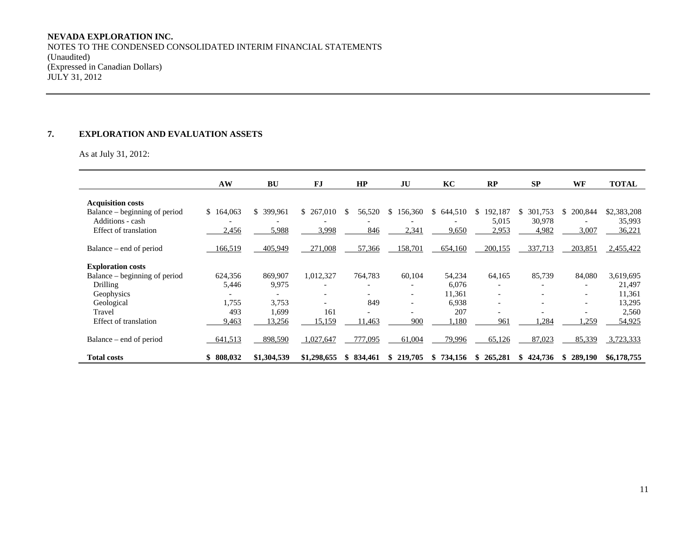NOTES TO THE CONDENSED CONSOLIDATED INTERIM FINANCIAL STATEMENTS (Unaudited) (Expressed in Canadian Dollars) JULY 31, 2012

### **7. EXPLORATION AND EVALUATION ASSETS**

As at July 31, 2012:

|                               | AW             | <b>BU</b>      | <b>FJ</b>   | HP            | JU                       | KC            | RP            | SP                       | <b>WF</b>                | <b>TOTAL</b> |
|-------------------------------|----------------|----------------|-------------|---------------|--------------------------|---------------|---------------|--------------------------|--------------------------|--------------|
| <b>Acquisition costs</b>      |                |                |             |               |                          |               |               |                          |                          |              |
| Balance – beginning of period | 164,063<br>\$. | 399.961<br>\$. | \$ 267,010  | 56,520        | 56,360<br>S.             | 644,510<br>S. | 192,187<br>S. | 301,753<br>Ж             | 200,844<br>\$.           | \$2,383,208  |
| Additions - cash              |                |                |             |               |                          |               | 5,015         | 30,978                   |                          | 35,993       |
| Effect of translation         | 2,456          | 5,988          | 3,998       | 846           | 2,341                    | 9,650         | 2,953         | 4,982                    | 3,007                    | 36,221       |
|                               |                |                |             |               |                          |               |               |                          |                          |              |
| Balance – end of period       | 166,519        | 405,949        | 271,008     | 57,366        | 158,701                  | 654,160       | 200,155       | 337,713                  | 203,851                  | 2,455,422    |
| <b>Exploration costs</b>      |                |                |             |               |                          |               |               |                          |                          |              |
| Balance – beginning of period | 624,356        | 869,907        | 1,012,327   | 764,783       | 60,104                   | 54,234        | 64,165        | 85,739                   | 84,080                   | 3,619,695    |
| Drilling                      | 5,446          | 9,975          |             |               |                          | 6,076         |               |                          |                          | 21,497       |
| Geophysics                    |                |                |             |               | $\overline{\phantom{a}}$ | 11,361        |               | $\overline{\phantom{a}}$ | $\overline{\phantom{a}}$ | 11,361       |
| Geological                    | 1,755          | 3,753          |             | 849           | $\overline{\phantom{0}}$ | 6,938         |               |                          | $\overline{\phantom{0}}$ | 13,295       |
| Travel                        | 493            | 1,699          | 161         |               |                          | 207           |               |                          |                          | 2,560        |
| <b>Effect of translation</b>  | 9,463          | 13,256         | 15,159      | 11,463        | 900                      | 1,180         | 961           | 1,284                    | .259                     | 54,925       |
| Balance – end of period       | 641,513        | 898,590        | 1,027,647   | 777,095       | 61,004                   | 79,996        | 65,126        | 87,023                   | 85,339                   | 3,723,333    |
| <b>Total costs</b>            | 808,032<br>\$  | \$1,304,539    | \$1,298,655 | 834,461<br>S. | 219,705<br>S.            | 734,156<br>S. | 265,281<br>Ж. | 424,736                  | 289,190<br>SS.           | \$6,178,755  |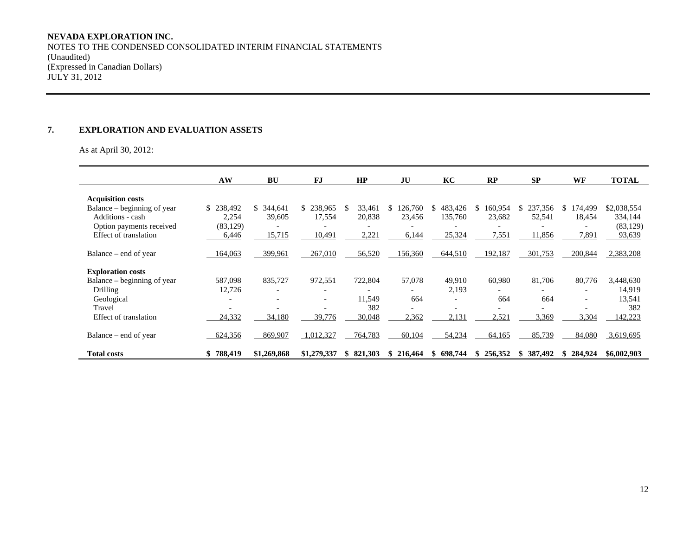NOTES TO THE CONDENSED CONSOLIDATED INTERIM FINANCIAL STATEMENTS (Unaudited) (Expressed in Canadian Dollars) JULY 31, 2012

#### **7. EXPLORATION AND EVALUATION ASSETS**

As at April 30, 2012:

|                                              | AW                 | <b>BU</b>                 | <b>FJ</b>                | HP           | JU      | KC                       | RP                       | <b>SP</b>                | WF                       | <b>TOTAL</b>         |
|----------------------------------------------|--------------------|---------------------------|--------------------------|--------------|---------|--------------------------|--------------------------|--------------------------|--------------------------|----------------------|
| <b>Acquisition costs</b>                     |                    |                           |                          |              |         |                          |                          |                          |                          |                      |
| Balance – beginning of year                  | \$238,492          | $\mathbb{S}^-$<br>344,641 | \$<br>238,965            | \$<br>33,461 | 126,760 | 483,426<br>S.            | 160,954<br>\$            | \$237,356                | 174,499<br>S.            | \$2,038,554          |
| Additions - cash<br>Option payments received | 2,254<br>(83, 129) | 39,605                    | 17,554                   | 20,838       | 23.456  | 135,760                  | 23,682                   | 52,541                   | 18,454                   | 334,144<br>(83, 129) |
| Effect of translation                        | 6,446              | 15,715                    | 10,491                   | 2,221        | 6,144   | 25,324                   | 7,551                    | 11,856                   | 7,891                    | 93,639               |
| Balance – end of year                        | 164,063            | 399,961                   | 267,010                  | 56,520       | 156,360 | 644,510                  | 192,187                  | 301,753                  | 200,844                  | 2,383,208            |
| <b>Exploration costs</b>                     |                    |                           |                          |              |         |                          |                          |                          |                          |                      |
| Balance – beginning of year                  | 587,098            | 835,727                   | 972,551                  | 722,804      | 57,078  | 49,910                   | 60,980                   | 81,706                   | 80,776                   | 3,448,630            |
| Drilling                                     | 12,726             |                           |                          |              |         | 2,193                    |                          |                          | $\overline{\phantom{0}}$ | 14,919               |
| Geological                                   |                    | $\overline{\phantom{0}}$  | $\overline{\phantom{a}}$ | 11,549       | 664     | $\overline{\phantom{a}}$ | 664                      | 664                      | $\overline{\phantom{a}}$ | 13,541               |
| Travel                                       |                    |                           | $\overline{\phantom{0}}$ | 382          |         | $\overline{\phantom{0}}$ | $\overline{\phantom{0}}$ | $\overline{\phantom{0}}$ |                          | 382                  |
| Effect of translation                        | 24,332             | 34,180                    | 39,776                   | 30,048       | 2,362   | 2,131                    | 2,521                    | 3,369                    | 3,304                    | 142,223              |
| Balance – end of year                        | 624,356            | 869,907                   | 1,012,327                | 764,783      | 60,104  | 54,234                   | 64,165                   | 85,739                   | 84,080                   | 3,619,695            |
| <b>Total costs</b>                           | 788,419<br>SS.     | \$1,269,868               | \$1,279,337              | \$821,303    | 216,464 | 698.744<br>S.            | 256,352<br>\$.           | 387,492<br>Ж.            | 284,924<br>S.            | \$6,002,903          |

,我们也不会有什么。""我们的人,我们也不会有什么?""我们的人,我们也不会有什么?""我们的人,我们也不会有什么?""我们的人,我们也不会有什么?""我们的人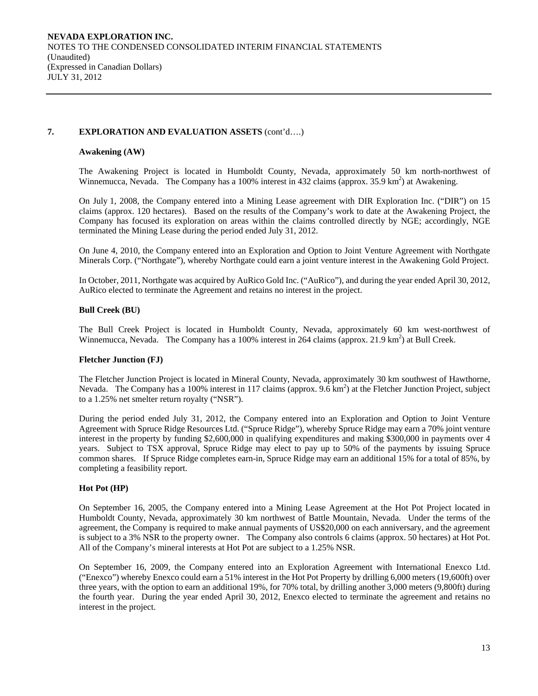# **7. EXPLORATION AND EVALUATION ASSETS** (cont'd….)

# **Awakening (AW)**

The Awakening Project is located in Humboldt County, Nevada, approximately 50 km north-northwest of Winnemucca, Nevada. The Company has a 100% interest in 432 claims (approx.  $35.9 \text{ km}^2$ ) at Awakening.

On July 1, 2008, the Company entered into a Mining Lease agreement with DIR Exploration Inc. ("DIR") on 15 claims (approx. 120 hectares). Based on the results of the Company's work to date at the Awakening Project, the Company has focused its exploration on areas within the claims controlled directly by NGE; accordingly, NGE terminated the Mining Lease during the period ended July 31, 2012.

On June 4, 2010, the Company entered into an Exploration and Option to Joint Venture Agreement with Northgate Minerals Corp. ("Northgate"), whereby Northgate could earn a joint venture interest in the Awakening Gold Project.

In October, 2011, Northgate was acquired by AuRico Gold Inc. ("AuRico"), and during the year ended April 30, 2012, AuRico elected to terminate the Agreement and retains no interest in the project.

# **Bull Creek (BU)**

The Bull Creek Project is located in Humboldt County, Nevada, approximately 60 km west-northwest of Winnemucca, Nevada. The Company has a 100% interest in 264 claims (approx. 21.9 km<sup>2</sup>) at Bull Creek.

#### **Fletcher Junction (FJ)**

The Fletcher Junction Project is located in Mineral County, Nevada, approximately 30 km southwest of Hawthorne, Nevada. The Company has a 100% interest in 117 claims (approx. 9.6 km<sup>2</sup>) at the Fletcher Junction Project, subject to a 1.25% net smelter return royalty ("NSR").

During the period ended July 31, 2012, the Company entered into an Exploration and Option to Joint Venture Agreement with Spruce Ridge Resources Ltd. ("Spruce Ridge"), whereby Spruce Ridge may earn a 70% joint venture interest in the property by funding \$2,600,000 in qualifying expenditures and making \$300,000 in payments over 4 years. Subject to TSX approval, Spruce Ridge may elect to pay up to 50% of the payments by issuing Spruce common shares. If Spruce Ridge completes earn-in, Spruce Ridge may earn an additional 15% for a total of 85%, by completing a feasibility report.

# **Hot Pot (HP)**

On September 16, 2005, the Company entered into a Mining Lease Agreement at the Hot Pot Project located in Humboldt County, Nevada, approximately 30 km northwest of Battle Mountain, Nevada. Under the terms of the agreement, the Company is required to make annual payments of US\$20,000 on each anniversary, and the agreement is subject to a 3% NSR to the property owner. The Company also controls 6 claims (approx. 50 hectares) at Hot Pot. All of the Company's mineral interests at Hot Pot are subject to a 1.25% NSR.

On September 16, 2009, the Company entered into an Exploration Agreement with International Enexco Ltd. ("Enexco") whereby Enexco could earn a 51% interest in the Hot Pot Property by drilling 6,000 meters (19,600ft) over three years, with the option to earn an additional 19%, for 70% total, by drilling another 3,000 meters (9,800ft) during the fourth year. During the year ended April 30, 2012, Enexco elected to terminate the agreement and retains no interest in the project.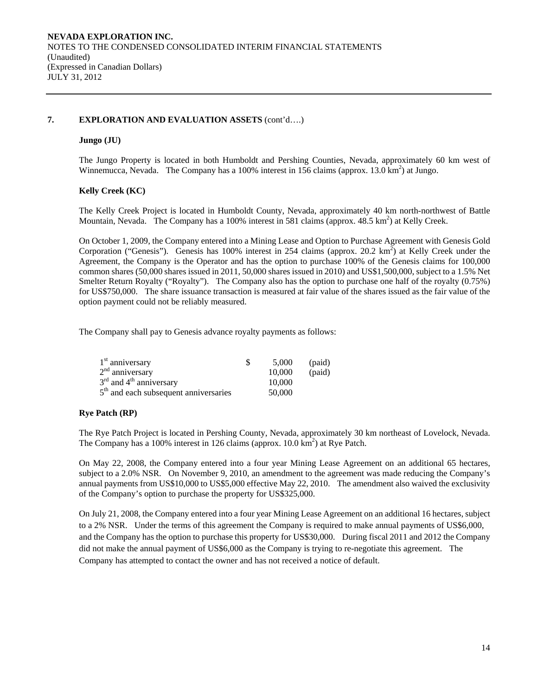# **7. EXPLORATION AND EVALUATION ASSETS** (cont'd….)

# **Jungo (JU)**

The Jungo Property is located in both Humboldt and Pershing Counties, Nevada, approximately 60 km west of Winnemucca, Nevada. The Company has a 100% interest in 156 claims (approx.  $13.0 \text{ km}^2$ ) at Jungo.

# **Kelly Creek (KC)**

The Kelly Creek Project is located in Humboldt County, Nevada, approximately 40 km north-northwest of Battle Mountain, Nevada. The Company has a 100% interest in 581 claims (approx. 48.5 km<sup>2</sup>) at Kelly Creek.

On October 1, 2009, the Company entered into a Mining Lease and Option to Purchase Agreement with Genesis Gold Corporation ("Genesis"). Genesis has 100% interest in 254 claims (approx. 20.2 km<sup>2</sup>) at Kelly Creek under the Agreement, the Company is the Operator and has the option to purchase 100% of the Genesis claims for 100,000 common shares (50,000 shares issued in 2011, 50,000 shares issued in 2010) and US\$1,500,000, subject to a 1.5% Net Smelter Return Royalty ("Royalty"). The Company also has the option to purchase one half of the royalty (0.75%) for US\$750,000. The share issuance transaction is measured at fair value of the shares issued as the fair value of the option payment could not be reliably measured.

The Company shall pay to Genesis advance royalty payments as follows:

| 1 <sup>st</sup> anniversary             | 5.000  | (paid) |
|-----------------------------------------|--------|--------|
| $2nd$ anniversary                       | 10.000 | (paid) |
| $3rd$ and $4th$ anniversary             | 10,000 |        |
| $5th$ and each subsequent anniversaries | 50,000 |        |

# **Rye Patch (RP)**

The Rye Patch Project is located in Pershing County, Nevada, approximately 30 km northeast of Lovelock, Nevada. The Company has a 100% interest in 126 claims (approx.  $10.0 \text{ km}^2$ ) at Rye Patch.

On May 22, 2008, the Company entered into a four year Mining Lease Agreement on an additional 65 hectares, subject to a 2.0% NSR. On November 9, 2010, an amendment to the agreement was made reducing the Company's annual payments from US\$10,000 to US\$5,000 effective May 22, 2010. The amendment also waived the exclusivity of the Company's option to purchase the property for US\$325,000.

On July 21, 2008, the Company entered into a four year Mining Lease Agreement on an additional 16 hectares, subject to a 2% NSR. Under the terms of this agreement the Company is required to make annual payments of US\$6,000, and the Company has the option to purchase this property for US\$30,000. During fiscal 2011 and 2012 the Company did not make the annual payment of US\$6,000 as the Company is trying to re-negotiate this agreement. The Company has attempted to contact the owner and has not received a notice of default.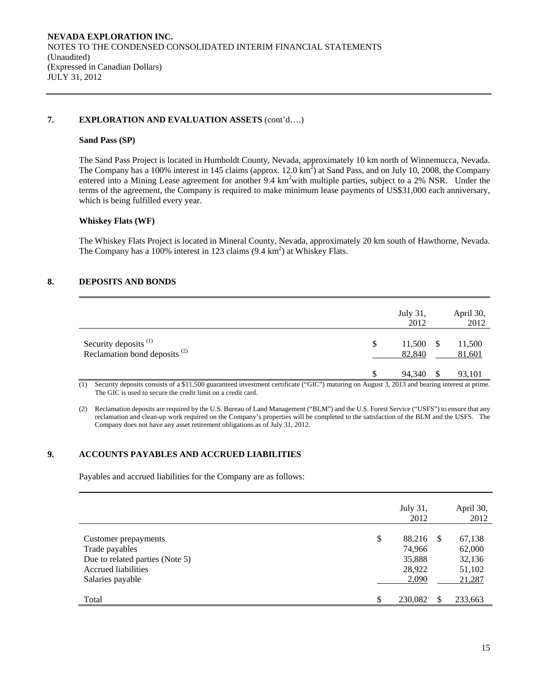# **7. EXPLORATION AND EVALUATION ASSETS** (cont'd….)

#### **Sand Pass (SP)**

The Sand Pass Project is located in Humboldt County, Nevada, approximately 10 km north of Winnemucca, Nevada. The Company has a 100% interest in 145 claims (approx. 12.0  $\text{km}^2$ ) at Sand Pass, and on July 10, 2008, the Company entered into a Mining Lease agreement for another 9.4 km<sup>2</sup> with multiple parties, subject to a 2% NSR. Under the terms of the agreement, the Company is required to make minimum lease payments of US\$31,000 each anniversary, which is being fulfilled every year.

#### **Whiskey Flats (WF)**

The Whiskey Flats Project is located in Mineral County, Nevada, approximately 20 km south of Hawthorne, Nevada. The Company has a 100% interest in 123 claims  $(9.4 \text{ km}^2)$  at Whiskey Flats.

# **8. DEPOSITS AND BONDS**

|                                                                              | July 31,<br>2012       | April 30,<br>2012 |
|------------------------------------------------------------------------------|------------------------|-------------------|
| Security deposits <sup>(1)</sup><br>Reclamation bond deposits <sup>(2)</sup> | \$<br>11,500<br>82,840 | 11,500<br>81,601  |
|                                                                              | 94,340                 | 93,101            |

(1) Security deposits consists of a \$11,500 guaranteed investment certificate ("GIC") maturing on August 3, 2013 and bearing interest at prime. The GIC is used to secure the credit limit on a credit card.

(2) Reclamation deposits are required by the U.S. Bureau of Land Management ("BLM") and the U.S. Forest Service ("USFS") to ensure that any reclamation and clean-up work required on the Company's properties will be completed to the satisfaction of the BLM and the USFS. The Company does not have any asset retirement obligations as of July 31, 2012.

# **9. ACCOUNTS PAYABLES AND ACCRUED LIABILITIES**

Payables and accrued liabilities for the Company are as follows:

|                                                        | July 31,<br>2012       |    | April 30,<br>2012 |
|--------------------------------------------------------|------------------------|----|-------------------|
| Customer prepayments<br>Trade payables                 | \$<br>88,216<br>74,966 | -S | 67,138<br>62,000  |
| Due to related parties (Note 5)<br>Accrued liabilities | 35,888<br>28,922       |    | 32,136<br>51,102  |
| Salaries payable                                       | 2,090                  |    | 21,287            |
| Total                                                  | \$<br>230,082          | \$ | 233,663           |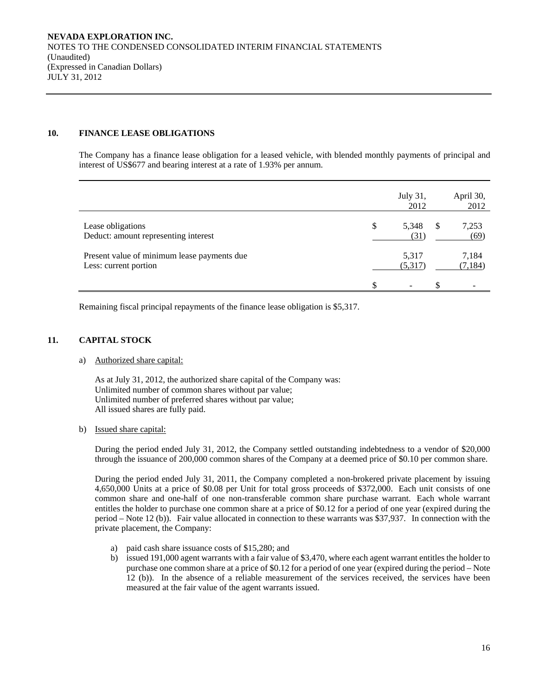# **10. FINANCE LEASE OBLIGATIONS**

The Company has a finance lease obligation for a leased vehicle, with blended monthly payments of principal and interest of US\$677 and bearing interest at a rate of 1.93% per annum.

|                                                                      |    | July 31,<br>2012         |               | April 30,<br>2012 |
|----------------------------------------------------------------------|----|--------------------------|---------------|-------------------|
| Lease obligations<br>Deduct: amount representing interest            | \$ | 5,348<br>(31)            | <sup>\$</sup> | 7,253<br>(69)     |
| Present value of minimum lease payments due<br>Less: current portion |    | 5,317<br>(5,317)         |               | 7,184<br>(7, 184) |
|                                                                      | £. | $\overline{\phantom{0}}$ | £.            |                   |

Remaining fiscal principal repayments of the finance lease obligation is \$5,317.

# **11. CAPITAL STOCK**

#### a) Authorized share capital:

As at July 31, 2012, the authorized share capital of the Company was: Unlimited number of common shares without par value; Unlimited number of preferred shares without par value; All issued shares are fully paid.

# b) Issued share capital:

During the period ended July 31, 2012, the Company settled outstanding indebtedness to a vendor of \$20,000 through the issuance of 200,000 common shares of the Company at a deemed price of \$0.10 per common share.

 During the period ended July 31, 2011, the Company completed a non-brokered private placement by issuing 4,650,000 Units at a price of \$0.08 per Unit for total gross proceeds of \$372,000. Each unit consists of one common share and one-half of one non-transferable common share purchase warrant. Each whole warrant entitles the holder to purchase one common share at a price of \$0.12 for a period of one year (expired during the period – Note 12 (b)). Fair value allocated in connection to these warrants was \$37,937. In connection with the private placement, the Company:

- a) paid cash share issuance costs of \$15,280; and
- b) issued 191,000 agent warrants with a fair value of \$3,470, where each agent warrant entitles the holder to purchase one common share at a price of \$0.12 for a period of one year (expired during the period – Note 12 (b)). In the absence of a reliable measurement of the services received, the services have been measured at the fair value of the agent warrants issued.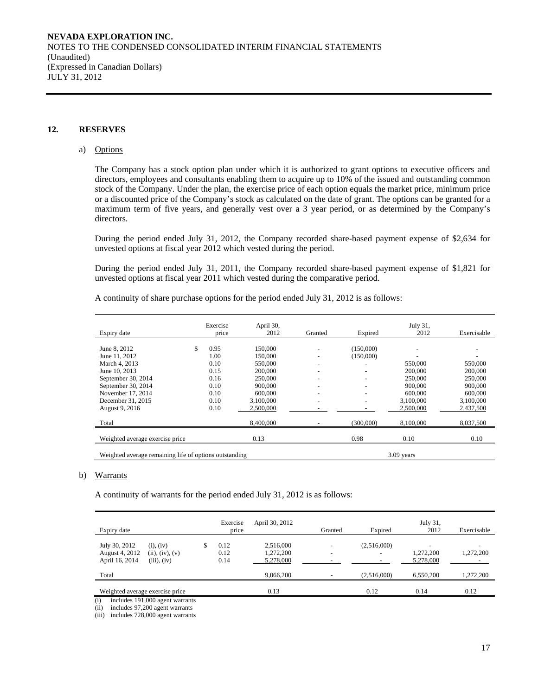### **12. RESERVES**

#### a) Options

The Company has a stock option plan under which it is authorized to grant options to executive officers and directors, employees and consultants enabling them to acquire up to 10% of the issued and outstanding common stock of the Company. Under the plan, the exercise price of each option equals the market price, minimum price or a discounted price of the Company's stock as calculated on the date of grant. The options can be granted for a maximum term of five years, and generally vest over a 3 year period, or as determined by the Company's directors.

During the period ended July 31, 2012, the Company recorded share-based payment expense of \$2,634 for unvested options at fiscal year 2012 which vested during the period.

During the period ended July 31, 2011, the Company recorded share-based payment expense of \$1,821 for unvested options at fiscal year 2011 which vested during the comparative period.

|  |  |  |  |  | A continuity of share purchase options for the period ended July 31, 2012 is as follows: |
|--|--|--|--|--|------------------------------------------------------------------------------------------|
|--|--|--|--|--|------------------------------------------------------------------------------------------|

|                                                        | Exercise | April 30, |         |                          | July 31,     |             |
|--------------------------------------------------------|----------|-----------|---------|--------------------------|--------------|-------------|
| Expiry date                                            | price    | 2012      | Granted | Expired                  | 2012         | Exercisable |
|                                                        |          |           |         |                          |              |             |
| June 8, 2012                                           | 0.95     | 150,000   |         | (150,000)                |              |             |
| June 11, 2012                                          | 1.00     | 150,000   |         | (150,000)                |              |             |
| March 4, 2013                                          | 0.10     | 550,000   |         |                          | 550,000      | 550,000     |
| June 10, 2013                                          | 0.15     | 200,000   |         | $\overline{\phantom{a}}$ | 200,000      | 200,000     |
| September 30, 2014                                     | 0.16     | 250,000   |         |                          | 250,000      | 250,000     |
| September 30, 2014                                     | 0.10     | 900,000   |         |                          | 900,000      | 900,000     |
| November 17, 2014                                      | 0.10     | 600,000   |         |                          | 600,000      | 600,000     |
| December 31, 2015                                      | 0.10     | 3.100.000 |         |                          | 3,100,000    | 3,100,000   |
| August 9, 2016                                         | 0.10     | 2,500,000 |         |                          | 2,500,000    | 2,437,500   |
| Total                                                  |          | 8,400,000 |         | (300,000)                | 8,100,000    | 8,037,500   |
| Weighted average exercise price                        |          | 0.13      |         | 0.98                     | 0.10         | 0.10        |
| Weighted average remaining life of options outstanding |          |           |         |                          | $3.09$ years |             |

#### b) Warrants

A continuity of warrants for the period ended July 31, 2012 is as follows:

| Expiry date                                                                                                                                                                                                                                                      | Exercise<br>price    | April 30, 2012                      | Granted                  | Expired                                 | July 31,<br>2012       | Exercisable |
|------------------------------------------------------------------------------------------------------------------------------------------------------------------------------------------------------------------------------------------------------------------|----------------------|-------------------------------------|--------------------------|-----------------------------------------|------------------------|-------------|
| July 30, 2012<br>$(i)$ , $(iv)$<br>August 4, 2012<br>(ii), (iv), (v)<br>April 16, 2014<br>(iii), (iv)                                                                                                                                                            | 0.12<br>0.12<br>0.14 | 2,516,000<br>1,272,200<br>5.278,000 | $\overline{\phantom{a}}$ | (2,516,000)<br>$\overline{\phantom{a}}$ | 1,272,200<br>5.278,000 | 1,272,200   |
| Total                                                                                                                                                                                                                                                            |                      | 9,066,200                           |                          | (2,516,000)                             | 6,550,200              | 1,272,200   |
| Weighted average exercise price<br>$(1)$ $(1)$ $(1)$ $(0)$ $(0)$ $(1)$ $(1)$ $(0)$ $(1)$ $(0)$ $(1)$ $(1)$ $(1)$ $(1)$ $(1)$ $(1)$ $(1)$ $(1)$ $(1)$ $(1)$ $(1)$ $(1)$ $(1)$ $(1)$ $(1)$ $(1)$ $(1)$ $(1)$ $(1)$ $(1)$ $(1)$ $(1)$ $(1)$ $(1)$ $(1)$ $(1)$ $(1)$ |                      | 0.13                                |                          | 0.12                                    | 0.14                   | 0.12        |

(i) includes  $191,000$  agent warrants<br>(ii) includes  $97,200$  agent warrants

includes 97,200 agent warrants

(iii) includes 728,000 agent warrants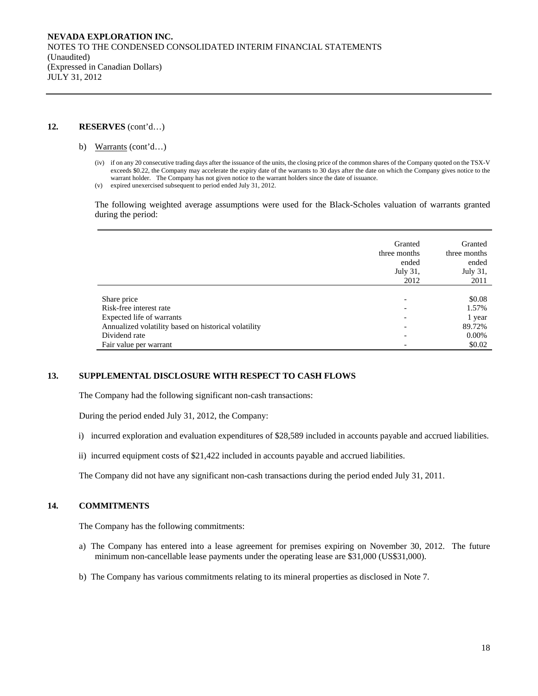#### **12. RESERVES** (cont'd…)

- b) Warrants (cont'd…)
	- (iv) if on any 20 consecutive trading days after the issuance of the units, the closing price of the common shares of the Company quoted on the TSX-V exceeds \$0.22, the Company may accelerate the expiry date of the warrants to 30 days after the date on which the Company gives notice to the warrant holder. The Company has not given notice to the warrant holders since the date of issuance.
	- (v) expired unexercised subsequent to period ended July 31, 2012.

The following weighted average assumptions were used for the Black-Scholes valuation of warrants granted during the period:

|                                                      | Granted<br>three months<br>ended<br>July 31,<br>2012 | Granted<br>three months<br>ended<br>July 31,<br>2011 |
|------------------------------------------------------|------------------------------------------------------|------------------------------------------------------|
| Share price                                          | $\overline{\phantom{0}}$                             | \$0.08                                               |
| Risk-free interest rate                              | $\overline{\phantom{0}}$                             | 1.57%                                                |
| Expected life of warrants                            | $\overline{\phantom{a}}$                             | 1 year                                               |
| Annualized volatility based on historical volatility | $\overline{\phantom{0}}$                             | 89.72%                                               |
| Dividend rate                                        | $\overline{\phantom{0}}$                             | $0.00\%$                                             |
| Fair value per warrant                               |                                                      | \$0.02                                               |

# **13. SUPPLEMENTAL DISCLOSURE WITH RESPECT TO CASH FLOWS**

The Company had the following significant non-cash transactions:

During the period ended July 31, 2012, the Company:

- i) incurred exploration and evaluation expenditures of \$28,589 included in accounts payable and accrued liabilities.
- ii) incurred equipment costs of \$21,422 included in accounts payable and accrued liabilities.

The Company did not have any significant non-cash transactions during the period ended July 31, 2011.

#### **14. COMMITMENTS**

The Company has the following commitments:

- a) The Company has entered into a lease agreement for premises expiring on November 30, 2012. The future minimum non-cancellable lease payments under the operating lease are \$31,000 (US\$31,000).
- b) The Company has various commitments relating to its mineral properties as disclosed in Note 7.